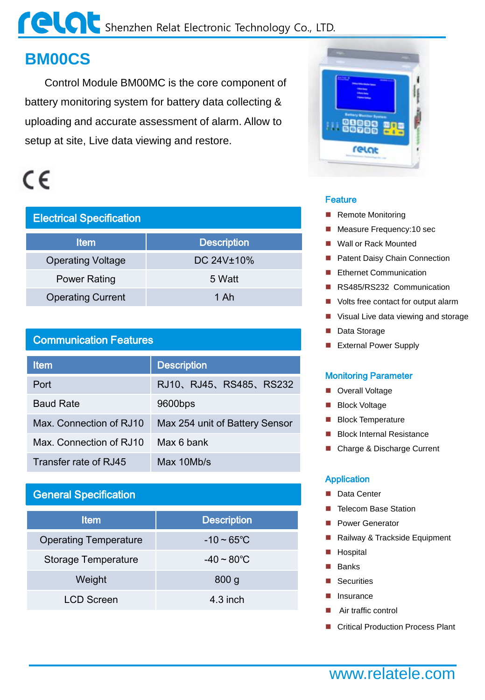## Shenzhen Relat Electronic Technology Co., LTD.

## **BM00CS**

 Control Module BM00MC is the core component of battery monitoring system for battery data collecting & uploading and accurate assessment of alarm. Allow to setup at site, Live data viewing and restore.

## $\epsilon$

| <b>Electrical Specification</b> |                    |  |
|---------------------------------|--------------------|--|
| <b>Item</b>                     | <b>Description</b> |  |
| <b>Operating Voltage</b>        | DC 24V±10%         |  |
| <b>Power Rating</b>             | 5 Watt             |  |
| <b>Operating Current</b>        | 1 Ah               |  |

#### Communication Features

| <b>Item</b>             | <b>Description</b>             |
|-------------------------|--------------------------------|
| Port                    | RJ10、RJ45、RS485、RS232          |
| <b>Baud Rate</b>        | 9600bps                        |
| Max. Connection of RJ10 | Max 254 unit of Battery Sensor |
| Max. Connection of RJ10 | Max 6 bank                     |
| Transfer rate of RJ45   | Max 10Mb/s                     |

#### General Specification

| <b>Item</b>                  | <b>Description</b>      |
|------------------------------|-------------------------|
| <b>Operating Temperature</b> | $-10 - 65^{\circ}$ C    |
| <b>Storage Temperature</b>   | $-40 \sim 80^{\circ}$ C |
| Weight                       | 800 <sub>g</sub>        |
| <b>LCD Screen</b>            | $4.3$ inch              |



#### **Feature**

- Remote Monitoring
- Measure Frequency: 10 sec
- Wall or Rack Mounted
- **Patent Daisy Chain Connection**
- Ethernet Communication
- RS485/RS232 Communication
- **Nolts free contact for output alarm**
- Visual Live data viewing and storage
- Data Storage
- **External Power Supply**

#### Monitoring Parameter

- **D** Overall Voltage
- **Block Voltage**
- **Block Temperature**
- Block Internal Resistance
- Charge & Discharge Current

#### Application

- Data Center
- **Telecom Base Station**
- **Power Generator**
- Railway & Trackside Equipment
- **Hospital**
- **Banks**
- **Securities**
- Insurance
- Air traffic control
- Critical Production Process Plant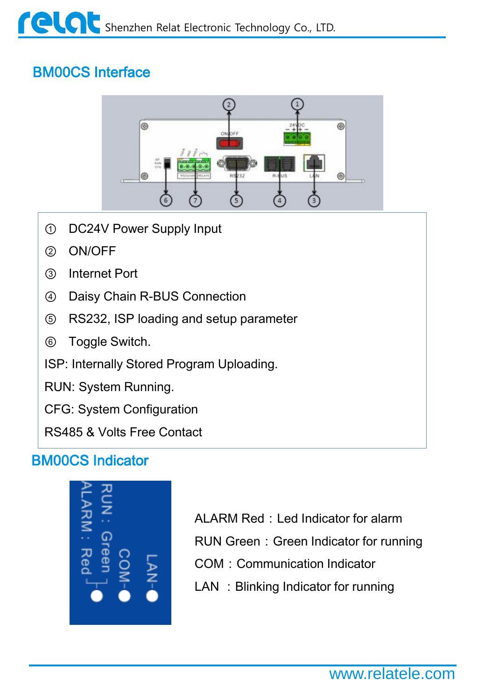## BM00CS Interface



- ① DC24V Power Supply Input
- ② ON/OFF
- ③ Internet Port
- ④ Daisy Chain R-BUS Connection
- ⑤ RS232, ISP loading and setup parameter
- ⑥ Toggle Switch.

ISP: Internally Stored Program Uploading.

RUN: System Running.

CFG: System Configuration

RS485 & Volts Free Contact

## BM00CS Indicator



- ALARM Red: Led Indicator for alarm
- RUN Green: Green Indicator for running
- COM: Communication Indicator
- LAN : Blinking Indicator for running